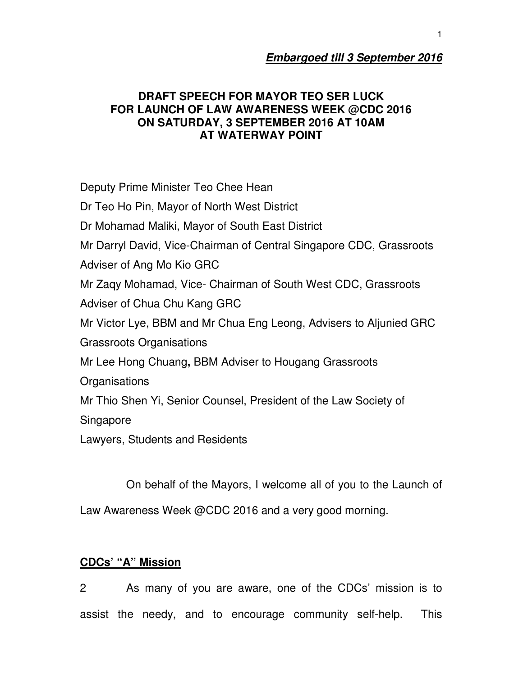# **Embargoed till 3 September 2016**

### **DRAFT SPEECH FOR MAYOR TEO SER LUCK FOR LAUNCH OF LAW AWARENESS WEEK @CDC 2016 ON SATURDAY, 3 SEPTEMBER 2016 AT 10AM AT WATERWAY POINT**

Deputy Prime Minister Teo Chee Hean Dr Teo Ho Pin, Mayor of North West District Dr Mohamad Maliki, Mayor of South East District Mr Darryl David, Vice-Chairman of Central Singapore CDC, Grassroots Adviser of Ang Mo Kio GRC Mr Zaqy Mohamad, Vice- Chairman of South West CDC, Grassroots Adviser of Chua Chu Kang GRC Mr Victor Lye, BBM and Mr Chua Eng Leong, Advisers to Aljunied GRC Grassroots Organisations Mr Lee Hong Chuang**,** BBM Adviser to Hougang Grassroots **Organisations** Mr Thio Shen Yi, Senior Counsel, President of the Law Society of Singapore Lawyers, Students and Residents

On behalf of the Mayors, I welcome all of you to the Launch of

Law Awareness Week @CDC 2016 and a very good morning.

# **CDCs' "A" Mission**

2 As many of you are aware, one of the CDCs' mission is to assist the needy, and to encourage community self-help. This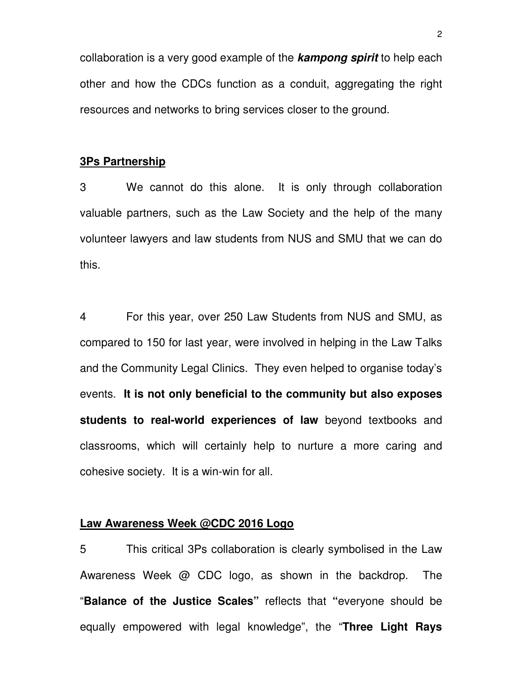collaboration is a very good example of the **kampong spirit** to help each other and how the CDCs function as a conduit, aggregating the right resources and networks to bring services closer to the ground.

#### **3Ps Partnership**

3 We cannot do this alone. It is only through collaboration valuable partners, such as the Law Society and the help of the many volunteer lawyers and law students from NUS and SMU that we can do this.

4 For this year, over 250 Law Students from NUS and SMU, as compared to 150 for last year, were involved in helping in the Law Talks and the Community Legal Clinics. They even helped to organise today's events. **It is not only beneficial to the community but also exposes students to real-world experiences of law** beyond textbooks and classrooms, which will certainly help to nurture a more caring and cohesive society. It is a win-win for all.

#### **Law Awareness Week @CDC 2016 Logo**

5 This critical 3Ps collaboration is clearly symbolised in the Law Awareness Week @ CDC logo, as shown in the backdrop. The "**Balance of the Justice Scales"** reflects that **"**everyone should be equally empowered with legal knowledge", the "**Three Light Rays**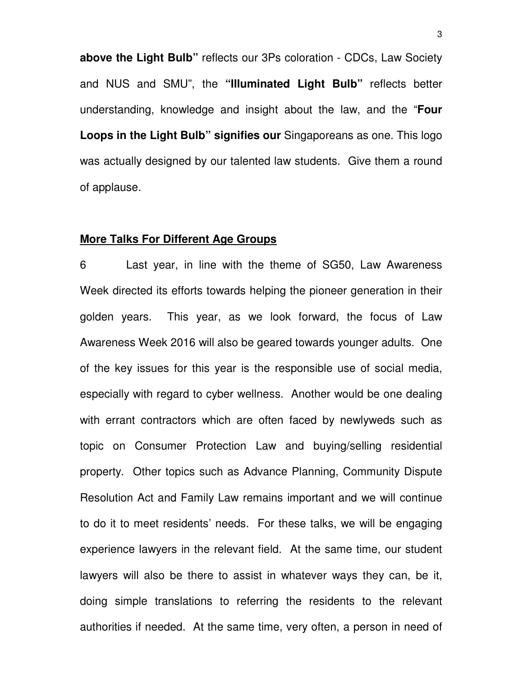**above the Light Bulb"** reflects our 3Ps coloration - CDCs, Law Society and NUS and SMU", the **"Illuminated Light Bulb"** reflects better understanding, knowledge and insight about the law, and the "**Four Loops in the Light Bulb" signifies our** Singaporeans as one. This logo was actually designed by our talented law students. Give them a round of applause.

#### **More Talks For Different Age Groups**

6 Last year, in line with the theme of SG50, Law Awareness Week directed its efforts towards helping the pioneer generation in their golden years. This year, as we look forward, the focus of Law Awareness Week 2016 will also be geared towards younger adults. One of the key issues for this year is the responsible use of social media, especially with regard to cyber wellness. Another would be one dealing with errant contractors which are often faced by newlyweds such as topic on Consumer Protection Law and buying/selling residential property. Other topics such as Advance Planning, Community Dispute Resolution Act and Family Law remains important and we will continue to do it to meet residents' needs. For these talks, we will be engaging experience lawyers in the relevant field. At the same time, our student lawyers will also be there to assist in whatever ways they can, be it, doing simple translations to referring the residents to the relevant authorities if needed. At the same time, very often, a person in need of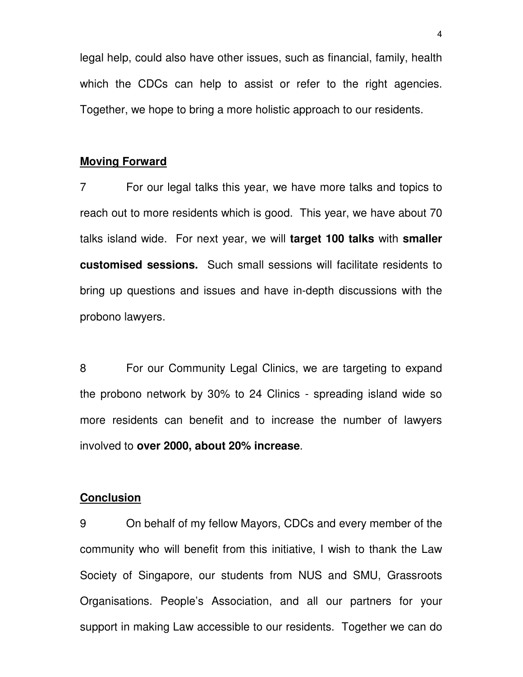legal help, could also have other issues, such as financial, family, health which the CDCs can help to assist or refer to the right agencies. Together, we hope to bring a more holistic approach to our residents.

### **Moving Forward**

7 For our legal talks this year, we have more talks and topics to reach out to more residents which is good. This year, we have about 70 talks island wide. For next year, we will **target 100 talks** with **smaller customised sessions.** Such small sessions will facilitate residents to bring up questions and issues and have in-depth discussions with the probono lawyers.

8 For our Community Legal Clinics, we are targeting to expand the probono network by 30% to 24 Clinics - spreading island wide so more residents can benefit and to increase the number of lawyers involved to **over 2000, about 20% increase**.

#### **Conclusion**

9 On behalf of my fellow Mayors, CDCs and every member of the community who will benefit from this initiative, I wish to thank the Law Society of Singapore, our students from NUS and SMU, Grassroots Organisations. People's Association, and all our partners for your support in making Law accessible to our residents. Together we can do